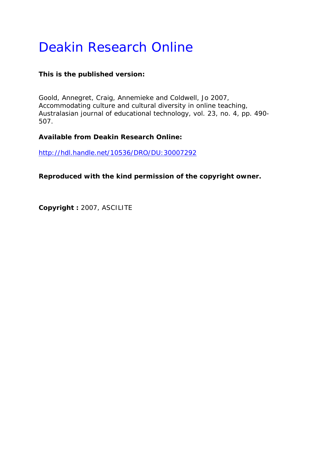# Deakin Research Online

# **This is the published version:**

Goold, Annegret, Craig, Annemieke and Coldwell, Jo 2007, Accommodating culture and cultural diversity in online teaching*, Australasian journal of educational technology*, vol. 23, no. 4, pp. 490- 507.

# **Available from Deakin Research Online:**

http://hdl.handle.net/10536/DRO/DU:30007292

**Reproduced with the kind permission of the copyright owner.** 

**Copyright :** 2007, ASCILITE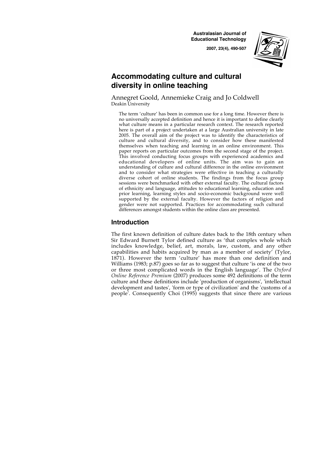**Australasian Journal of Educational Technology**

**2007, 23(4), 490-507**



# **Accommodating culture and cultural diversity in online teaching**

Annegret Goold, Annemieke Craig and Jo Coldwell Deakin University

The term 'culture' has been in common use for a long time. However there is no universally accepted definition and hence it is important to define clearly what culture means in a particular research context. The research reported here is part of a project undertaken at a large Australian university in late 2005. The overall aim of the project was to identify the characteristics of culture and cultural diversity, and to consider how these manifested themselves when teaching and learning in an online environment. This paper reports on particular outcomes from the second stage of the project. This involved conducting focus groups with experienced academics and educational developers of online units. The aim was to gain an understanding of culture and cultural difference in the online environment and to consider what strategies were effective in teaching a culturally diverse cohort of online students. The findings from the focus group sessions were benchmarked with other external faculty. The cultural factors of ethnicity and language, attitudes to educational learning, education and prior learning, learning styles and socio-economic background were well supported by the external faculty. However the factors of religion and gender were not supported. Practices for accommodating such cultural differences amongst students within the online class are presented.

# **Introduction**

The first known definition of culture dates back to the 18th century when Sir Edward Burnett Tylor defined culture as 'that complex whole which includes knowledge, belief, art, morals, law, custom, and any other capabilities and habits acquired by man as a member of society' (Tylor, 1871). However the term 'culture' has more than one definition and Williams (1983; p.87) goes so far as to suggest that culture 'is one of the two or three most complicated words in the English language'. The *Oxford Online Reference Premium* (2007) produces some 492 definitions of the term culture and these definitions include 'production of organisms', 'intellectual development and tastes', 'form or type of civilization' and the 'customs of a people'. Consequently Choi (1995) suggests that since there are various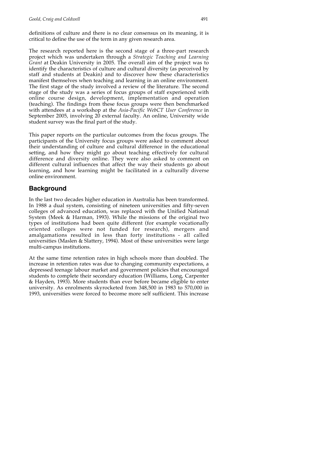definitions of culture and there is no clear consensus on its meaning, it is critical to define the use of the term in any given research area.

The research reported here is the second stage of a three-part research project which was undertaken through a *Strategic Teaching and Learning Grant* at Deakin University in 2005. The overall aim of the project was to identify the characteristics of culture and cultural diversity (as perceived by staff and students at Deakin) and to discover how these characteristics manifest themselves when teaching and learning in an online environment. The first stage of the study involved a review of the literature. The second stage of the study was a series of focus groups of staff experienced with online course design, development, implementation and operation (teaching). The findings from these focus groups were then benchmarked with attendees at a workshop at the *Asia-Pacific WebCT User Conference* in September 2005, involving 20 external faculty. An online, University wide student survey was the final part of the study.

This paper reports on the particular outcomes from the focus groups. The participants of the University focus groups were asked to comment about their understanding of culture and cultural difference in the educational setting, and how they might go about teaching effectively for cultural difference and diversity online. They were also asked to comment on different cultural influences that affect the way their students go about learning, and how learning might be facilitated in a culturally diverse online environment.

# **Background**

In the last two decades higher education in Australia has been transformed. In 1988 a dual system, consisting of nineteen universities and fifty-seven colleges of advanced education, was replaced with the Unified National System (Meek & Harman, 1993). While the missions of the original two types of institutions had been quite different (for example vocationally oriented colleges were not funded for research), mergers and amalgamations resulted in less than forty institutions - all called universities (Maslen & Slattery, 1994). Most of these universities were large multi-campus institutions.

At the same time retention rates in high schools more than doubled. The increase in retention rates was due to changing community expectations, a depressed teenage labour market and government policies that encouraged students to complete their secondary education (Williams, Long, Carpenter & Hayden, 1993). More students than ever before became eligible to enter university. As enrolments skyrocketed from 348,500 in 1983 to 570,000 in 1993, universities were forced to become more self sufficient. This increase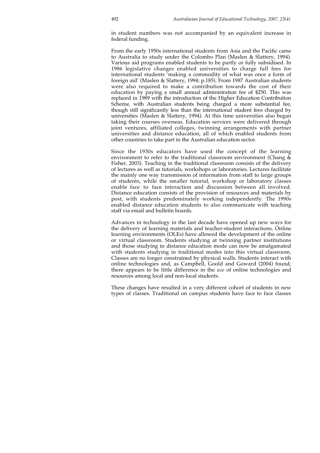in student numbers was not accompanied by an equivalent increase in federal funding.

From the early 1950s international students from Asia and the Pacific came to Australia to study under the Colombo Plan (Maslen & Slattery, 1994). Various aid programs enabled students to be partly or fully subsidised. In 1986 legislative changes enabled universities to charge full fees for international students 'making a commodity of what was once a form of foreign aid' (Maslen & Slattery, 1994; p.185). From 1987 Australian students were also required to make a contribution towards the cost of their education by paying a small annual administration fee of \$250. This was replaced in 1989 with the introduction of the Higher Education Contribution Scheme, with Australian students being charged a more substantial fee, though still significantly less than the international student fees charged by universities (Maslen & Slattery, 1994). At this time universities also began taking their courses overseas. Education services were delivered through joint ventures, affiliated colleges, twinning arrangements with partner universities and distance education, all of which enabled students from other countries to take part in the Australian education sector.

Since the 1930s educators have used the concept of the learning environment to refer to the traditional classroom environment (Chang  $\&$ Fisher, 2003). Teaching in the traditional classroom consists of the delivery of lectures as well as tutorials, workshops or laboratories. Lectures facilitate the mainly one way transmission of information from staff to large groups of students, while the smaller tutorial, workshop or laboratory classes enable face to face interaction and discussion between all involved. Distance education consists of the provision of resources and materials by post, with students predominately working independently. The 1990s enabled distance education students to also communicate with teaching staff via email and bulletin boards.

Advances in technology in the last decade have opened up new ways for the delivery of learning materials and teacher-student interactions. Online learning environments (OLEs) have allowed the development of the online or virtual classroom. Students studying at twinning partner institutions and those studying in distance education mode can now be amalgamated with students studying in traditional modes into this virtual classroom. Classes are no longer constrained by physical walls. Students interact with online technologies and, as Campbell, Goold and Goward (2004) found, there appears to be little difference in the *use* of online technologies and resources among local and non-local students.

These changes have resulted in a very different cohort of students in new types of classes. Traditional on campus students have face to face classes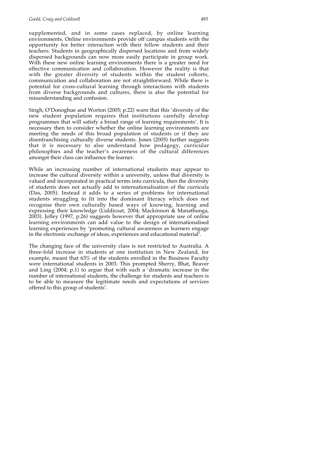supplemented, and in some cases replaced, by online learning environments. Online environments provide off campus students with the opportunity for better interaction with their fellow students and their teachers. Students in geographically dispersed locations and from widely dispersed backgrounds can now more easily participate in group work. With these new online learning environments there is a greater need for effective communication and collaboration. However the reality is that with the greater diversity of students within the student cohorts, communication and collaboration are not straightforward. While there is potential for cross-cultural learning through interactions with students from diverse backgrounds and cultures, there is also the potential for misunderstanding and confusion.

Singh, O'Donoghue and Worton (2005; p.22) warn that this 'diversity of the new student population requires that institutions carefully develop programmes that will satisfy a broad range of learning requirements'. It is necessary then to consider whether the online learning environments are meeting the needs of this broad population of students or if they are disenfranchising culturally diverse students. Jones (2005) further suggests that it is necessary to also understand how pedagogy, curricular philosophies and the teacher's awareness of the cultural differences amongst their class can influence the learner.

While an increasing number of international students may appear to increase the cultural diversity within a university, unless that diversity is valued and incorporated in practical terms into curricula, then the diversity of students does not actually add to internationalisation of the curricula (Das, 2005). Instead it adds to a series of problems for international students struggling to fit into the dominant literacy which does not recognise their own culturally based ways of knowing, learning and expressing their knowledge (Liddicoat, 2004; Mackinnon & Manathunga, 2003). Jolley (1997, p.26) suggests however that appropriate use of online learning environments can add value to the design of internationalised learning experiences by 'promoting cultural awareness as learners engage in the electronic exchange of ideas, experiences and educational material'.

The changing face of the university class is not restricted to Australia. A three-fold increase in students at one institution in New Zealand, for example, meant that 63% of the students enrolled in the Business Faculty were international students in 2003. This prompted Sherry, Bhat, Beaver and Ling (2004; p.1) to argue that with such a 'dramatic increase in the number of international students, the challenge for students and teachers is to be able to measure the legitimate needs and expectations of services offered to this group of students'.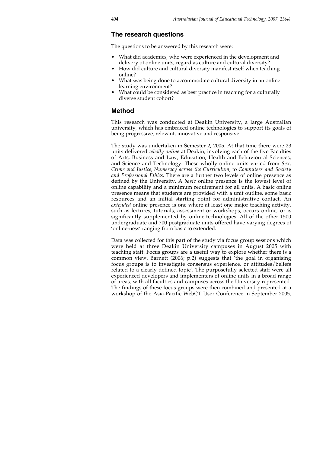# **The research questions**

The questions to be answered by this research were:

- What did academics, who were experienced in the development and delivery of online units, regard as culture and cultural diversity?
- How did culture and cultural diversity manifest itself when teaching online?
- What was being done to accommodate cultural diversity in an online learning environment?
- What could be considered as best practice in teaching for a culturally diverse student cohort?

## **Method**

This research was conducted at Deakin University, a large Australian university, which has embraced online technologies to support its goals of being progressive, relevant, innovative and responsive.

The study was undertaken in Semester 2, 2005. At that time there were 23 units delivered *wholly online* at Deakin, involving each of the five Faculties of Arts, Business and Law, Education, Health and Behavioural Sciences, and Science and Technology. These wholly online units varied from *Sex, Crime and Justice*, *Numeracy across the Curriculum*, to *Computers and Society and Professional Ethics.* There are a further two levels of online presence as defined by the University. A *basic* online presence is the lowest level of online capability and a minimum requirement for all units. A basic online presence means that students are provided with a unit outline, some basic resources and an initial starting point for administrative contact. An *extended* online presence is one where at least one major teaching activity, such as lectures, tutorials, assessment or workshops, occurs online, or is significantly supplemented by online technologies. All of the other 1500 undergraduate and 700 postgraduate units offered have varying degrees of 'online-ness' ranging from basic to extended.

Data was collected for this part of the study via focus group sessions which were held at three Deakin University campuses in August 2005 with teaching staff. Focus groups are a useful way to explore whether there is a common view. Barnett (2006; p.2) suggests that <sup>t</sup> the goal in organising focus groups is to investigate consensus experience, or attitudes/beliefs related to a clearly defined topic'. The purposefully selected staff were all experienced developers and implementers of online units in a broad range of areas, with all faculties and campuses across the University represented. The findings of these focus groups were then combined and presented at a workshop of the Asia-Pacific WebCT User Conference in September 2005,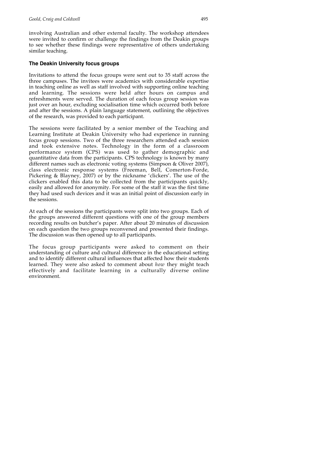involving Australian and other external faculty. The workshop attendees were invited to confirm or challenge the findings from the Deakin groups to see whether these findings were representative of others undertaking similar teaching.

#### **The Deakin University focus groups**

Invitations to attend the focus groups were sent out to 35 staff across the three campuses. The invitees were academics with considerable expertise in teaching online as well as staff involved with supporting online teaching and learning. The sessions were held after hours on campus and refreshments were served. The duration of each focus group session was just over an hour, excluding socialisation time which occurred both before and after the sessions. A plain language statement, outlining the objectives of the research, was provided to each participant.

The sessions were facilitated by a senior member of the Teaching and Learning Institute at Deakin University who had experience in running focus group sessions. Two of the three researchers attended each session and took extensive notes. Technology in the form of a classroom performance system (CPS) was used to gather demographic and quantitative data from the participants. CPS technology is known by many different names such as electronic voting systems (Simpson & Oliver 2007), class electronic response systems (Freeman, Bell, Comerton-Forde, Pickering & Blayney, 2007) or by the nickname 'clickers'. The use of the clickers enabled this data to be collected from the participants quickly, easily and allowed for anonymity. For some of the staff it was the first time they had used such devices and it was an initial point of discussion early in the sessions.

At each of the sessions the participants were split into two groups. Each of the groups answered different questions with one of the group members recording results on butcher's paper. After about 20 minutes of discussion on each question the two groups reconvened and presented their findings. The discussion was then opened up to all participants.

The focus group participants were asked to comment on their understanding of culture and cultural difference in the educational setting and to identify different cultural influences that affected how their students learned. They were also asked to comment about *how* they might teach effectively and facilitate learning in a culturally diverse online environment.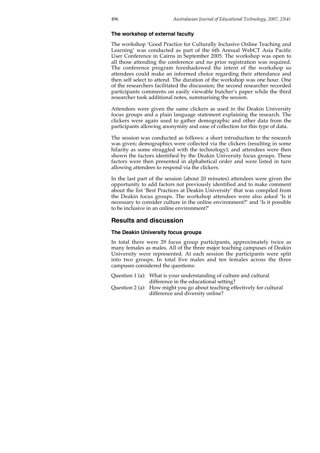#### **The workshop of external faculty**

The workshop 'Good Practice for Culturally Inclusive Online Teaching and Learning' was conducted as part of the 6th Annual WebCT Asia Pacific User Conference in Cairns in September 2005. The workshop was open to all those attending the conference and no prior registration was required. The conference program foreshadowed the intent of the workshop so attendees could make an informed choice regarding their attendance and then self select to attend. The duration of the workshop was one hour. One of the researchers facilitated the discussion; the second researcher recorded participants comments on easily viewable butcher's paper while the third researcher took additional notes, summarising the session.

Attendees were given the same clickers as used in the Deakin University focus groups and a plain language statement explaining the research. The clickers were again used to gather demographic and other data from the participants allowing anonymity and ease of collection for this type of data.

The session was conducted as follows: a short introduction to the research was given; demographics were collected via the clickers (resulting in some hilarity as some struggled with the technology); and attendees were then shown the factors identified by the Deakin University focus groups. These factors were then presented in alphabetical order and were listed in turn allowing attendees to respond via the clickers.

In the last part of the session (about 20 minutes) attendees were given the opportunity to add factors not previously identified and to make comment about the list 'Best Practices at Deakin University' that was compiled from the Deakin focus groups. The workshop attendees were also asked 'Is it necessary to consider culture in the online environment?' and 'Is it possible to be inclusive in an online environment?'

## **Results and discussion**

#### **The Deakin University focus groups**

In total there were 29 focus group participants, approximately twice as many females as males. All of the three major teaching campuses of Deakin University were represented. At each session the participants were split into two groups. In total five males and ten females across the three campuses considered the questions:

- Question 1 (a): What is your understanding of culture and cultural difference in the educational setting?
- Question 2 (a): How might you go about teaching effectively for cultural difference and diversity online?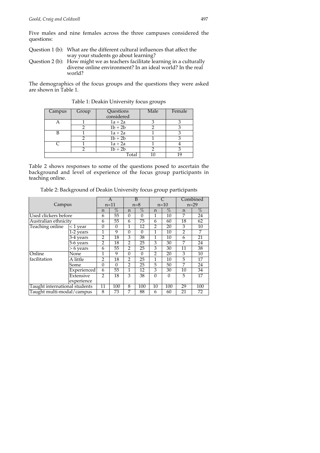Five males and nine females across the three campuses considered the questions:

- Question 1 (b): What are the different cultural influences that affect the way your students go about learning?
- Question 2 (b): How might we as teachers facilitate learning in a culturally diverse online environment? In an ideal world? In the real world?

The demographics of the focus groups and the questions they were asked are shown in Table 1.

| Campus | Group | Questions<br>considered | Male |  |
|--------|-------|-------------------------|------|--|
|        |       | $1a + 2a$               |      |  |
|        |       | $1b + 2b$               |      |  |
| B      |       | $1a + 2a$               |      |  |
|        |       | $1b + 2b$               |      |  |
|        |       | $1a + 2a$               |      |  |
|        |       | $1b + 2b$               |      |  |
|        |       | Total                   |      |  |

Table 1: Deakin University focus groups

Table 2 shows responses to some of the questions posed to ascertain the background and level of experience of the focus group participants in teaching online.

Table 2: Background of Deakin University focus group participants

|                               |             | A              |          | B              |          |                |          | Combined       |      |
|-------------------------------|-------------|----------------|----------|----------------|----------|----------------|----------|----------------|------|
| Campus                        |             | $n=11$         |          | $n=8$          |          | $n=10$         |          | $n=29$         |      |
|                               |             | $\mathbf n$    | $\%$     | n              | $\%$     | $\mathsf{n}$   | $\%$     | n              | $\%$ |
| Used clickers before          |             | 6              | 55       | $\theta$       | 0        | 1              | 10       | 7              | 24   |
| Australian ethnicity          |             | 6              | 55       | 6              | 75       | 6              | 60       | 18             | 62   |
| Teaching online               | $<$ 1 year  | $\Omega$       | $\Omega$ | 1              | 12       | $\overline{2}$ | 20       | 3              | 10   |
|                               | 1-2 years   | 1              | 9        | $\Omega$       | $\Omega$ | 1              | 10       | $\overline{2}$ | 7    |
|                               | 3-4 years   | $\overline{2}$ | 18       | 3              | 38       | 1              | 10       | 6              | 21   |
|                               | 5-6 years   | $\overline{2}$ | 18       | $\overline{2}$ | 25       | 3              | 30       | 7              | 24   |
|                               | $> 6$ years | 6              | 55       | $\overline{2}$ | 25       | 3              | 30       | 11             | 38   |
| Online                        | None        |                | 9        | $\Omega$       | $\theta$ | $\overline{2}$ | 20       | 3              | 10   |
| facilitation                  | A little    | $\overline{2}$ | 18       | $\overline{2}$ | 25       | 1              | 10       | 5              | 17   |
|                               | Some        | $\theta$       | $\Omega$ | $\overline{2}$ | 25       | 5              | 50       | 7              | 24   |
|                               | Experienced | 6              | 55       | 1              | 12       | 3              | 30       | 10             | 34   |
|                               | Extensive   | $\mathfrak{D}$ | 18       | 3              | 38       | $\theta$       | $\Omega$ | 5              | 17   |
|                               | experience  |                |          |                |          |                |          |                |      |
| Taught international students |             | 11             | 100      | 8              | 100      | 10             | 100      | 29             | 100  |
| Taught multi-modal/campus     |             | 8              | 73       | 7              | 88       | 6              | 60       | 21             | 72   |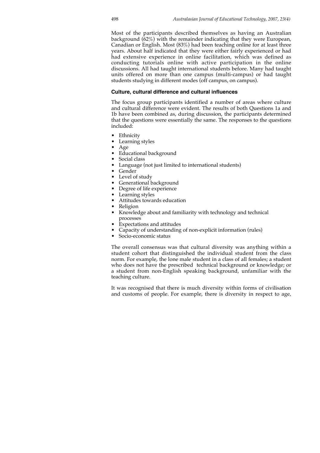Most of the participants described themselves as having an Australian background (62%) with the remainder indicating that they were European, Canadian or English. Most (83%) had been teaching online for at least three years. About half indicated that they were either fairly experienced or had had extensive experience in online facilitation, which was defined as conducting tutorials online with active participation in the online discussions. All had taught international students before. Many had taught units offered on more than one campus (multi-campus) or had taught students studying in different modes (off campus, on campus).

#### **Culture, cultural difference and cultural influences**

The focus group participants identified a number of areas where culture and cultural difference were evident. The results of both Questions 1a and 1b have been combined as, during discussion, the participants determined that the questions were essentially the same. The responses to the questions included:

- Ethnicity
- Learning styles
- Age
- Educational background
- Social class
- Language (not just limited to international students)
- Gender
- Level of study
- Generational background<br>• Degree of life experience
- Degree of life experience
- Learning styles
- Attitudes towards education
- Religion
- Knowledge about and familiarity with technology and technical processes
- Expectations and attitudes
- Capacity of understanding of non-explicit information (rules)
- Socio-economic status

The overall consensus was that cultural diversity was anything within a student cohort that distinguished the individual student from the class norm. For example, the lone male student in a class of all females; a student who does not have the prescribed technical background or knowledge; or a student from non-English speaking background, unfamiliar with the teaching culture.

It was recognised that there is much diversity within forms of civilisation and customs of people. For example, there is diversity in respect to age,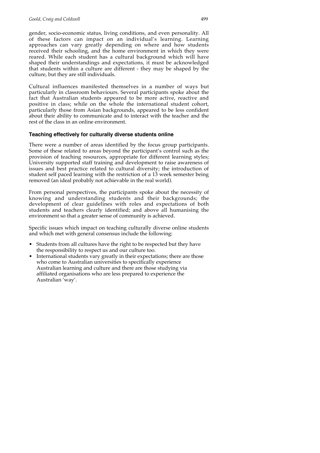gender, socio-economic status, living conditions, and even personality. All of these factors can impact on an individual's learning. Learning approaches can vary greatly depending on where and how students received their schooling, and the home environment in which they were reared. While each student has a cultural background which will have shaped their understandings and expectations, it must be acknowledged that students within a culture are different - they may be shaped by the culture, but they are still individuals.

Cultural influences manifested themselves in a number of ways but particularly in classroom behaviours. Several participants spoke about the fact that Australian students appeared to be more active, reactive and positive in class; while on the whole the international student cohort, particularly those from Asian backgrounds, appeared to be less confident about their ability to communicate and to interact with the teacher and the rest of the class in an online environment.

#### **Teaching effectively for culturally diverse students online**

There were a number of areas identified by the focus group participants. Some of these related to areas beyond the participant's control such as the provision of teaching resources, appropriate for different learning styles; University supported staff training and development to raise awareness of issues and best practice related to cultural diversity; the introduction of student self paced learning with the restriction of a 13 week semester being removed (an ideal probably not achievable in the real world).

From personal perspectives, the participants spoke about the necessity of knowing and understanding students and their backgrounds; the development of clear guidelines with roles and expectations of both students and teachers clearly identified; and above all humanising the environment so that a greater sense of community is achieved.

Specific issues which impact on teaching culturally diverse online students and which met with general consensus include the following:

- Students from all cultures have the right to be respected but they have the responsibility to respect us and our culture too.
- International students vary greatly in their expectations; there are those who come to Australian universities to specifically experience Australian learning and culture and there are those studying via affiliated organisations who are less prepared to experience the Australian 'way'.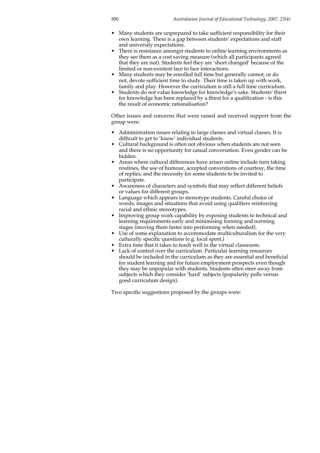- Many students are unprepared to take sufficient responsibility for their own learning. There is a gap between students' expectations and staff and university expectations.
- There is resistance amongst students to online learning environments as they see them as a cost saving measure (which all participants agreed that they are not). Students feel they are 'short changed' because of the limited or non-existent face to face interactions.
- Many students may be enrolled full time but generally cannot, or do not, devote sufficient time to study. Their time is taken up with work, family and play. However the curriculum is still a full time curriculum.
- Students do not value knowledge for knowledge's sake. Students' thirst for knowledge has been replaced by a thirst for a qualification - is this the result of economic rationalisation?

Other issues and concerns that were raised and received support from the group were:

- Administration issues relating to large classes and virtual classes. It is difficult to get to 'know' individual students.
- Cultural background is often not obvious when students are not seen and there is no opportunity for casual conversation. Even gender can be hidden.
- Areas where cultural differences have arisen online include turn taking routines, the use of humour, accepted conventions of courtesy, the time of replies, and the necessity for some students to be invited to participate.
- Awareness of characters and symbols that may reflect different beliefs or values for different groups.
- Language which appears to stereotype students. Careful choice of words, images and situations that avoid using qualifiers reinforcing racial and ethnic stereotypes.
- Improving group work capability by exposing students to technical and learning requirements early and minimising forming and norming stages (moving them faster into performing when needed).
- Use of some explanation to accommodate multiculturalism for the very culturally specific questions (e.g. local sport.)
- Extra time that it takes to teach well in the virtual classroom.
- Lack of control over the curriculum. Particular learning resources should be included in the curriculum as they are essential and beneficial for student learning and for future employment prospects even though they may be unpopular with students. Students often steer away from subjects which they consider 'hard' subjects (popularity polls versus good curriculum design).

Two specific suggestions proposed by the groups were: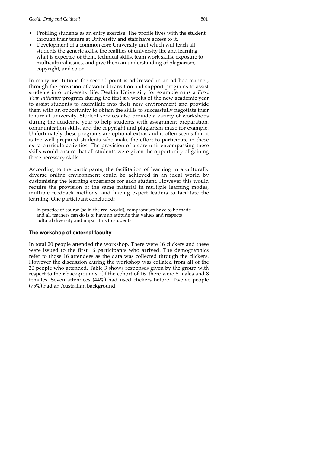- Profiling students as an entry exercise. The profile lives with the student through their tenure at University and staff have access to it.
- Development of a common core University unit which will teach all students the generic skills, the realities of university life and learning, what is expected of them, technical skills, team work skills, exposure to multicultural issues, and give them an understanding of plagiarism, copyright, and so on.

In many institutions the second point is addressed in an ad hoc manner, through the provision of assorted transition and support programs to assist students into university life. Deakin University for example runs a *First Year Initiative* program during the first six weeks of the new academic year to assist students to assimilate into their new environment and provide them with an opportunity to obtain the skills to successfully negotiate their tenure at university. Student services also provide a variety of workshops during the academic year to help students with assignment preparation, communication skills, and the copyright and plagiarism maze for example. Unfortunately these programs are optional extras and it often seems that it is the well prepared students who make the effort to participate in these extra-curricula activities. The provision of a core unit encompassing these skills would ensure that all students were given the opportunity of gaining these necessary skills.

According to the participants, the facilitation of learning in a culturally diverse online environment could be achieved in an ideal world by customising the learning experience for each student. However this would require the provision of the same material in multiple learning modes, multiple feedback methods, and having expert leaders to facilitate the learning. One participant concluded:

In practice of course (so in the real world), compromises have to be made and all teachers can do is to have an attitude that values and respects cultural diversity and impart this to students.

## **The workshop of external faculty**

In total 20 people attended the workshop. There were 16 clickers and these were issued to the first 16 participants who arrived. The demographics refer to those 16 attendees as the data was collected through the clickers. However the discussion during the workshop was collated from all of the 20 people who attended. Table 3 shows responses given by the group with respect to their backgrounds. Of the cohort of 16, there were 8 males and 8 females. Seven attendees (44%) had used clickers before. Twelve people (75%) had an Australian background.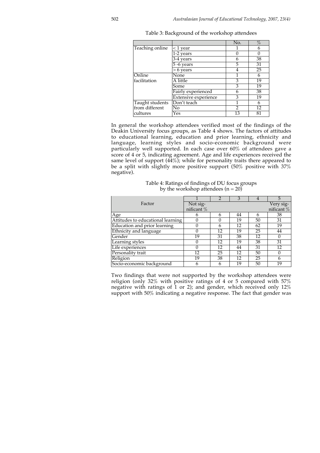|                 |                      | No.            | $\%$ |
|-----------------|----------------------|----------------|------|
| Teaching online | $<$ 1 year           |                | h    |
|                 | 1-2 years            |                |      |
|                 | 3-4 vears            | 6              | 38   |
|                 | 5 -6 years           | 5              | 31   |
|                 | > 6 years            | 4              | 25   |
| Online          | None                 |                | 6    |
| facilitation    | A little             | 3              | 19   |
|                 | Some                 | 3              | 19   |
|                 | Fairly experienced   | 6              | 38   |
|                 | Extensive experience | 3              | 19   |
| Taught students | Don't teach          |                | 6    |
| from different  | No                   | $\overline{2}$ | 12   |
| cultures        | Yes                  | 13             | 81   |

Table 3: Background of the workshop attendees

In general the workshop attendees verified most of the findings of the Deakin University focus groups, as Table 4 shows. The factors of attitudes to educational learning, education and prior learning, ethnicity and language, learning styles and socio-economic background were particularly well supported. In each case over 60% of attendees gave a score of 4 or 5, indicating agreement. Age and life experiences received the same level of support (44%); while for personality traits there appeared to be a split with slightly more positive support (50% positive with 37% negative).

| Table 4: Ratings of findings of DU focus groups |
|-------------------------------------------------|
| by the workshop attendees $(n = 20)$            |

| Factor                            | Not sig-   |    |    |    | Very sig-  |
|-----------------------------------|------------|----|----|----|------------|
|                                   | nificant % |    |    |    | nificant % |
| Age                               |            |    | 44 |    | 38         |
| Attitudes to educational learning |            |    | 19 | 50 | 31         |
| Education and prior learning      |            | h  | 12 | 62 | 19         |
| Ethnicity and language            |            | 12 | 19 | 25 | 44         |
| Gender                            | 19         | 31 | 38 | 12 |            |
| Learning styles                   |            | 12 | 19 | 38 | 31         |
| Life experiences                  |            | 12 | 44 | 31 | 12         |
| Personality trait                 | 12         | 25 | 12 | 50 |            |
| Religion                          | 19         | 38 | 12 | 25 | 6          |
| Socio-economic background         |            |    | 19 | 50 | 19         |

Two findings that were not supported by the workshop attendees were religion (only 32% with positive ratings of 4 or 5 compared with 57% negative with ratings of 1 or 2); and gender, which received only 12% support with 50% indicating a negative response. The fact that gender was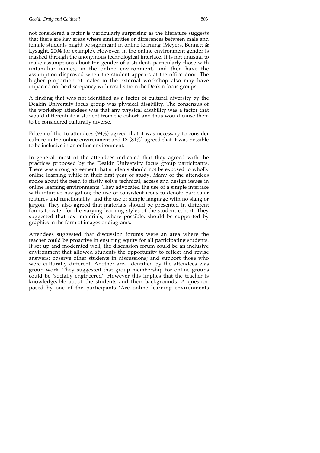not considered a factor is particularly surprising as the literature suggests that there are key areas where similarities or differences between male and female students might be significant in online learning (Meyers, Bennett & Lysaght, 2004 for example). However, in the online environment gender is masked through the anonymous technological interface. It is not unusual to make assumptions about the gender of a student, particularly those with unfamiliar names, in the online environment, and then have the assumption disproved when the student appears at the office door. The higher proportion of males in the external workshop also may have impacted on the discrepancy with results from the Deakin focus groups.

A finding that was not identified as a factor of cultural diversity by the Deakin University focus group was physical disability. The consensus of the workshop attendees was that any physical disability was a factor that would differentiate a student from the cohort, and thus would cause them to be considered culturally diverse.

Fifteen of the 16 attendees (94%) agreed that it was necessary to consider culture in the online environment and 13 (81%) agreed that it was possible to be inclusive in an online environment.

In general, most of the attendees indicated that they agreed with the practices proposed by the Deakin University focus group participants. There was strong agreement that students should not be exposed to wholly online learning while in their first year of study. Many of the attendees spoke about the need to firstly solve technical, access and design issues in online learning environments. They advocated the use of a simple interface with intuitive navigation; the use of consistent icons to denote particular features and functionality; and the use of simple language with no slang or jargon. They also agreed that materials should be presented in different forms to cater for the varying learning styles of the student cohort. They suggested that text materials, where possible, should be supported by graphics in the form of images or diagrams.

Attendees suggested that discussion forums were an area where the teacher could be proactive in ensuring equity for all participating students. If set up and moderated well, the discussion forum could be an inclusive environment that allowed students the opportunity to reflect and revise answers; observe other students in discussions; and support those who were culturally different. Another area identified by the attendees was group work. They suggested that group membership for online groups could be 'socially engineered'. However this implies that the teacher is knowledgeable about the students and their backgrounds. A question posed by one of the participants 'Are online learning environments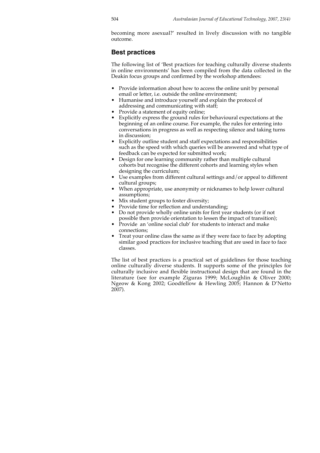becoming more asexual?' resulted in lively discussion with no tangible outcome.

## **Best practices**

The following list of 'Best practices for teaching culturally diverse students in online environments' has been compiled from the data collected in the Deakin focus groups and confirmed by the workshop attendees:

- Provide information about how to access the online unit by personal email or letter, i.e. outside the online environment;
- Humanise and introduce yourself and explain the protocol of addressing and communicating with staff;
- Provide a statement of equity online;
- Explicitly express the ground rules for behavioural expectations at the beginning of an online course. For example, the rules for entering into conversations in progress as well as respecting silence and taking turns in discussion;
- Explicitly outline student and staff expectations and responsibilities such as the speed with which queries will be answered and what type of feedback can be expected for submitted work;
- Design for one learning community rather than multiple cultural cohorts but recognise the different cohorts and learning styles when designing the curriculum;
- Use examples from different cultural settings and/or appeal to different cultural groups;
- When appropriate, use anonymity or nicknames to help lower cultural assumptions;
- Mix student groups to foster diversity;
- Provide time for reflection and understanding;
- Do not provide wholly online units for first year students (or if not possible then provide orientation to lessen the impact of transition);
- Provide an 'online social club' for students to interact and make connections;
- Treat your online class the same as if they were face to face by adopting similar good practices for inclusive teaching that are used in face to face classes.

The list of best practices is a practical set of guidelines for those teaching online culturally diverse students. It supports some of the principles for culturally inclusive and flexible instructional design that are found in the literature (see for example Ziguras 1999; McLoughlin & Oliver 2000; Ngeow & Kong 2002; Goodfellow & Hewling 2005; Hannon & D'Netto 2007).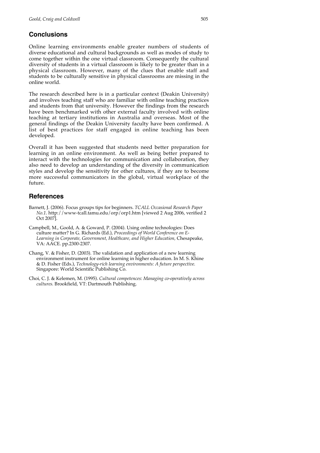# **Conclusions**

Online learning environments enable greater numbers of students of diverse educational and cultural backgrounds as well as modes of study to come together within the one virtual classroom. Consequently the cultural diversity of students in a virtual classroom is likely to be greater than in a physical classroom. However, many of the clues that enable staff and students to be culturally sensitive in physical classrooms are missing in the online world.

The research described here is in a particular context (Deakin University) and involves teaching staff who are familiar with online teaching practices and students from that university. However the findings from the research have been benchmarked with other external faculty involved with online teaching at tertiary institutions in Australia and overseas. Most of the general findings of the Deakin University faculty have been confirmed. A list of best practices for staff engaged in online teaching has been developed.

Overall it has been suggested that students need better preparation for learning in an online environment. As well as being better prepared to interact with the technologies for communication and collaboration, they also need to develop an understanding of the diversity in communication styles and develop the sensitivity for other cultures, if they are to become more successful communicators in the global, virtual workplace of the future.

# **References**

- Barnett, J. (2006). Focus groups tips for beginners. *TCALL Occasional Research Paper No.1*. http://www-tcall.tamu.edu/orp/orp1.htm [viewed 2 Aug 2006, verified 2 Oct 2007].
- Campbell, M., Goold, A. & Goward, P. (2004). Using online technologies: Does culture matter? In G. Richards (Ed.), *Proceedings of World Conference on E-Learning in Corporate, Government, Healthcare, and Higher Education,* Chesapeake, VA: AACE. pp.2300-2307.
- Chang, V. & Fisher, D. (2003). The validation and application of a new learning environment instrument for online learning in higher education. In M. S. Khine & D. Fisher (Eds.), *Technology-rich learning environments: A future perspective.* Singapore: World Scientific Publishing Co.
- Choi, C. J. & Kelemen, M. (1995). *Cultural competences: Managing co-operatively across cultures.* Brookfield, VT: Dartmouth Publishing.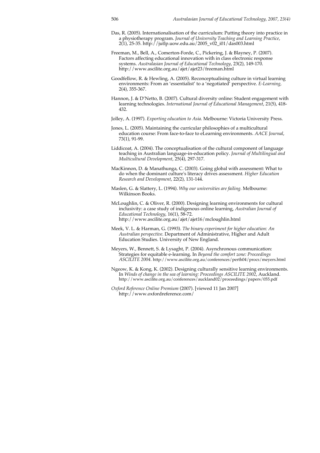- Das, R. (2005). Internationalisation of the curriculum: Putting theory into practice in a physiotherapy program. *Journal of University Teaching and Learning Practice*, 2(1), 25-35. http://jutlp.uow.edu.au/2005\_v02\_i01/das003.html
- Freeman, M., Bell, A., Comerton-Forde, C., Pickering, J. & Blayney, P. (2007). Factors affecting educational innovation with in class electronic response systems. *Australasian Journal of Educational Technology*, 23(2), 149-170. http://www.ascilite.org.au/ajet/ajet23/freeman.html
- Goodfellow, R. & Hewling, A. (2005). Reconceptualising culture in virtual learning environments: From an 'essentialist' to a 'negotiated' perspective. *E-Learning,* 2(4), 355-367.
- Hannon, J. & D'Netto, B. (2007). Cultural diversity online: Student engagement with learning technologies. *International Journal of Educational Management*, 21(5), 418- 432.
- Jolley, A. (1997). *Exporting education to Asia.* Melbourne: Victoria University Press.
- Jones, L. (2005). Maintaining the curricular philosophies of a multicultural education course: From face-to-face to eLearning environments. *AACE Journal*, 73(1), 91-99.
- Liddicoat, A. (2004). The conceptualisation of the cultural component of language teaching in Australian language-in-education policy. *Journal of Multilingual and Multicultural Development*, 25(4), 297-317.
- MacKinnon, D. & Manathunga, C. (2003). Going global with assessment: What to do when the dominant culture's literacy drives assessment*. Higher Education Research and Development*, 22(2), 131-144.
- Maslen, G. & Slattery, L. (1994). *Why our universities are failing.* Melbourne: Wilkinson Books.
- McLoughlin, C. & Oliver, R. (2000). Designing learning environments for cultural inclusivity: a case study of indigenous online learning, *Australian Journal of Educational Technology*, 16(1), 58-72. http://www.ascilite.org.au/ajet/ajet16/mcloughlin.html
- Meek, V. L. & Harman, G. (1993). *The binary experiment for higher education: An Australian perspective.* Department of Administrative, Higher and Adult Education Studies. University of New England.
- Meyers, W., Bennett, S. & Lysaght, P. (2004). Asynchronous communication: Strategies for equitable e-learning. In *Beyond the comfort zone: Proceedings ASCILITE 2004.* http://www.ascilite.org.au/conferences/perth04/procs/meyers.html
- Ngeow, K. & Kong, K. (2002). Designing culturally sensitive learning environments. In *Winds of change in the sea of learning: Proceedings ASCILITE 2002*, Auckland. http://www.ascilite.org.au/conferences/auckland02/proceedings/papers/055.pdf
- *Oxford Reference Online Premium* (2007). [viewed 11 Jan 2007] http://www.oxfordreference.com/